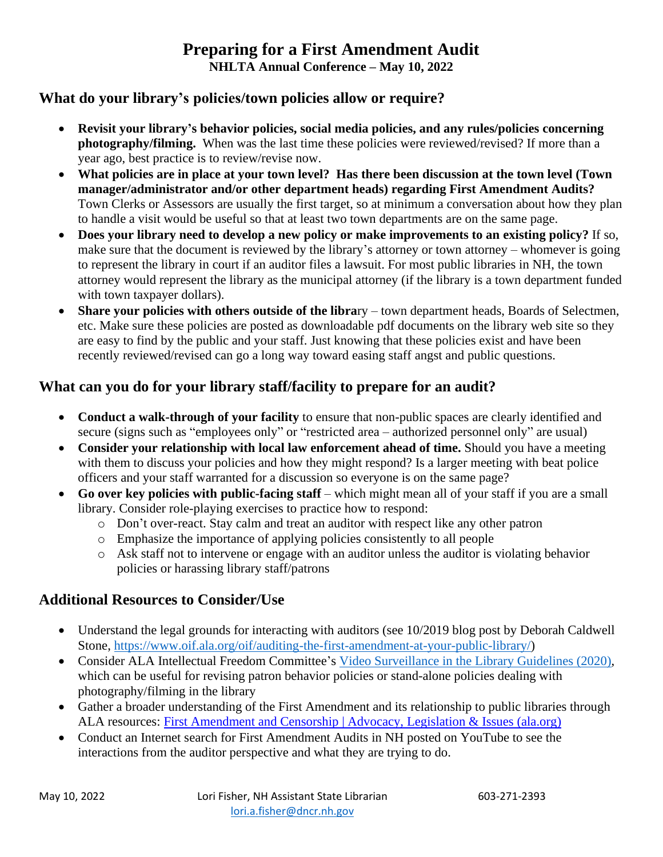### **Preparing for a First Amendment Audit NHLTA Annual Conference – May 10, 2022**

#### **What do your library's policies/town policies allow or require?**

- **Revisit your library's behavior policies, social media policies, and any rules/policies concerning photography/filming.** When was the last time these policies were reviewed/revised? If more than a year ago, best practice is to review/revise now.
- **What policies are in place at your town level? Has there been discussion at the town level (Town manager/administrator and/or other department heads) regarding First Amendment Audits?** Town Clerks or Assessors are usually the first target, so at minimum a conversation about how they plan to handle a visit would be useful so that at least two town departments are on the same page.
- **Does your library need to develop a new policy or make improvements to an existing policy?** If so, make sure that the document is reviewed by the library's attorney or town attorney – whomever is going to represent the library in court if an auditor files a lawsuit. For most public libraries in NH, the town attorney would represent the library as the municipal attorney (if the library is a town department funded with town taxpayer dollars).
- **Share your policies with others outside of the library** town department heads. Boards of Selectmen, etc. Make sure these policies are posted as downloadable pdf documents on the library web site so they are easy to find by the public and your staff. Just knowing that these policies exist and have been recently reviewed/revised can go a long way toward easing staff angst and public questions.

### **What can you do for your library staff/facility to prepare for an audit?**

- **Conduct a walk-through of your facility** to ensure that non-public spaces are clearly identified and secure (signs such as "employees only" or "restricted area – authorized personnel only" are usual)
- **Consider your relationship with local law enforcement ahead of time.** Should you have a meeting with them to discuss your policies and how they might respond? Is a larger meeting with beat police officers and your staff warranted for a discussion so everyone is on the same page?
- Go over key policies with public-facing staff which might mean all of your staff if you are a small library. Consider role-playing exercises to practice how to respond:
	- o Don't over-react. Stay calm and treat an auditor with respect like any other patron
	- o Emphasize the importance of applying policies consistently to all people
	- o Ask staff not to intervene or engage with an auditor unless the auditor is violating behavior policies or harassing library staff/patrons

### **Additional Resources to Consider/Use**

- Understand the legal grounds for interacting with auditors (see 10/2019 blog post by Deborah Caldwell Stone, [https://www.oif.ala.org/oif/auditing-the-first-amendment-at-your-public-library/\)](https://www.oif.ala.org/oif/auditing-the-first-amendment-at-your-public-library/)
- Consider ALA Intellectual Freedom Committee's [Video Surveillance in the Library Guidelines \(2020\),](https://www.ala.org/advocacy/privacy/guidelines/videosurveillance) which can be useful for revising patron behavior policies or stand-alone policies dealing with photography/filming in the library
- Gather a broader understanding of the First Amendment and its relationship to public libraries through ALA resources: [First Amendment and Censorship | Advocacy, Legislation & Issues \(ala.org\)](https://www.ala.org/advocacy/intfreedom/censorship)
- Conduct an Internet search for First Amendment Audits in NH posted on YouTube to see the interactions from the auditor perspective and what they are trying to do.